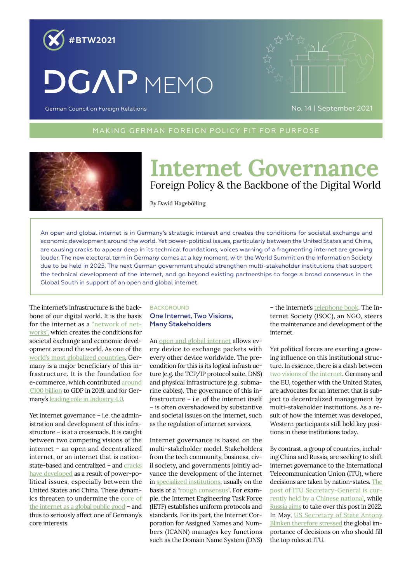

# **DGAP MEMO**



German Council on Foreign Relations

MAKING GERMAN FOREIGN POLICY FIT FOR PURPOSE MAKING GERMAN FOREIGN POLICY FIT FOR PURPOSE



## **Internet Governance** Foreign Policy & the Backbone of the Digital World

By David Hagebölling

An open and global internet is in Germany's strategic interest and creates the conditions for societal exchange and economic development around the world. Yet power-political issues, particularly between the United States and China, are causing cracks to appear deep in its technical foundations; voices warning of a fragmenting internet are growing louder. The new electoral term in Germany comes at a key moment, with the World Summit on the Information Society due to be held in 2025. The next German government should strengthen multi-stakeholder institutions that support the technical development of the internet, and go beyond existing partnerships to forge a broad consensus in the Global South in support of an open and global internet.

The internet's infrastructure is the backbone of our digital world. It is the basis for the internet as a ["network of net](https://link.springer.com/book/10.1007/978-3-540-92940-6)[works",](https://link.springer.com/book/10.1007/978-3-540-92940-6) which creates the conditions for societal exchange and economic development around the world. As one of the [world's most globalized countries,](https://kof.ethz.ch/en/forecasts-and-indicators/indicators/kof-globalisation-index.html) Germany is a major beneficiary of this infrastructure. It is the foundation for e-commerce, which contributed [around](https://www.bevh.org/fileadmin/content/04_politik/Impact-Studie/Die_bedeutung_des_E-Commerce_fuer_die_deutsche_Wirtschaft.pdf) [€100 billion](https://www.bevh.org/fileadmin/content/04_politik/Impact-Studie/Die_bedeutung_des_E-Commerce_fuer_die_deutsche_Wirtschaft.pdf) to GDP in 2019, and for Germany's [leading role in Industry 4.0.](https://de.statista.com/statistik/daten/studie/830903/umfrage/fuehrende-nationen-beim-thema-industrie-40-in-deutschland/)

Yet internet governance – i.e. the administration and development of this infrastructure – is at a crossroads. It is caught between two competing visions of the internet – an open and decentralized internet, or an internet that is nationstate-based and centralized - and [cracks](https://www.swp-berlin.org/publikation/cracks-in-the-internets-foundation) [have developed](https://www.swp-berlin.org/publikation/cracks-in-the-internets-foundation) as a result of power-political issues, especially between the United States and China. These dynamics threaten to undermine the [core of](https://www.bundeskanzlerin.de/bkin-de/aktuelles/rede-von-bundeskanzlerin-angela-merkel-zur-eroeffnung-des-14-internet-governance-forums-26-november-2019-in-berlin-1698264) [the internet as a global public good](https://www.bundeskanzlerin.de/bkin-de/aktuelles/rede-von-bundeskanzlerin-angela-merkel-zur-eroeffnung-des-14-internet-governance-forums-26-november-2019-in-berlin-1698264) – and thus to seriously affect one of Germany's core interests.

#### **BACKGROUND** One Internet, Two Visions, Many Stakeholders

An [open and global internet](https://www.internetsociety.org/policybriefs/internetinvariants/) allows every device to exchange packets with every other device worldwide. The precondition for this is its logical infrastructure (e.g. the TCP/IP protocol suite, DNS) and physical infrastructure (e.g. submarine cables). The governance of this infrastructure – i.e. of the internet itself – is often overshadowed by substantive and societal issues on the internet, such as the regulation of internet services.

Internet governance is based on the multi-stakeholder model. Stakeholders from the tech community, business, civil society, and governments jointly advance the development of the internet in [specialized institutions](https://www.internetsociety.org/resources/doc/2016/internet-governance-why-the-multistakeholder-approach-works/), usually on the basis of a ["rough consensus"](https://datatracker.ietf.org/doc/html/rfc7282). For example, the Internet Engineering Task Force (IETF) establishes uniform protocols and standards. For its part, the Internet Corporation for Assigned Names and Numbers (ICANN) manages key functions such as the Domain Name System (DNS)

– the internet's [telephone book.](https://www.internetsociety.org/issues/past-categories/domain-name-system-dns/) The Internet Society (ISOC), an NGO, steers the maintenance and development of the internet.

Yet political forces are exerting a growing influence on this institutional structure. In essence, there is a clash between [two visions of the internet.](https://www.swp-berlin.org/publications/products/arbeitspapiere/Voelsen_Input-IGF.pdf) Germany and the EU, together with the United States, are advocates for an internet that is subject to decentralized management by multi-stakeholder institutions. As a result of how the internet was developed, Western participants still hold key positions in these institutions today.

By contrast, a group of countries, including China and Russia, are seeking to shift internet governance to the International Telecommunication Union (ITU), where decisions are taken by nation-states. [The](https://www.itu.int/en/osg/Pages/default.aspx)  [post of ITU Secretary-General is cur](https://www.itu.int/en/osg/Pages/default.aspx)[rently held by a Chinese national,](https://www.itu.int/en/osg/Pages/default.aspx) while [Russia aims](https://www.itu.int/oth/D070A000092/en) to take over this post in 2022. In May, [US Secretary of State Antony](https://www.washingtonpost.com/opinions/2021/05/04/russias-plot-control-internet-is-no-longer-secret/)  [Blinken therefore stressed](https://www.washingtonpost.com/opinions/2021/05/04/russias-plot-control-internet-is-no-longer-secret/) the global importance of decisions on who should fill the top roles at ITU.